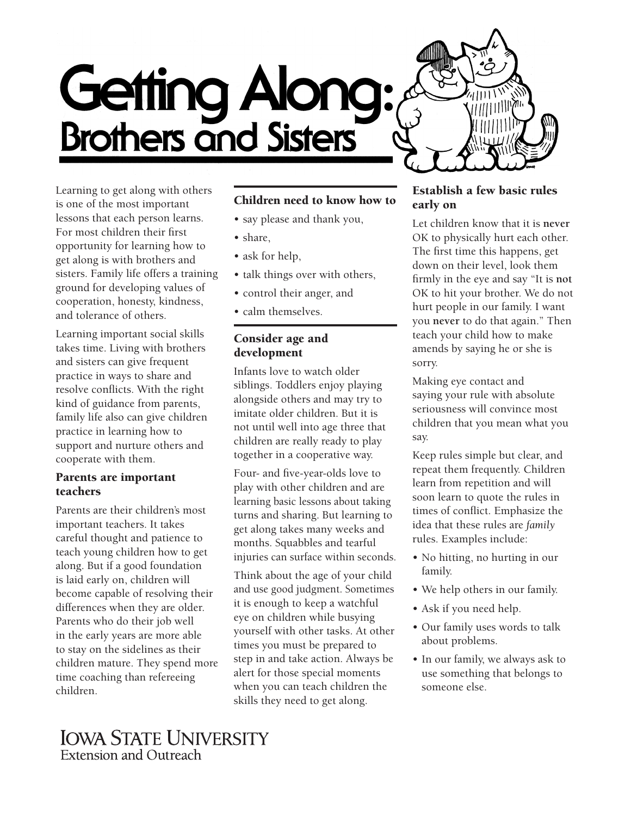

Learning to get along with others is one of the most important lessons that each person learns. For most children their first opportunity for learning how to get along is with brothers and sisters. Family life offers a training ground for developing values of cooperation, honesty, kindness, and tolerance of others.

Learning important social skills takes time. Living with brothers and sisters can give frequent practice in ways to share and resolve conflicts. With the right kind of guidance from parents, family life also can give children practice in learning how to support and nurture others and cooperate with them.

#### Parents are important teachers

Parents are their children's most important teachers. It takes careful thought and patience to teach young children how to get along. But if a good foundation is laid early on, children will become capable of resolving their differences when they are older. Parents who do their job well in the early years are more able to stay on the sidelines as their children mature. They spend more time coaching than refereeing children.

# Children need to know how to

- say please and thank you,
- share,
- ask for help,
- talk things over with others,
- control their anger, and
- calm themselves.

#### Consider age and development

Infants love to watch older siblings. Toddlers enjoy playing alongside others and may try to imitate older children. But it is not until well into age three that children are really ready to play together in a cooperative way.

Four- and five-year-olds love to play with other children and are learning basic lessons about taking turns and sharing. But learning to get along takes many weeks and months. Squabbles and tearful injuries can surface within seconds.

Think about the age of your child and use good judgment. Sometimes it is enough to keep a watchful eye on children while busying yourself with other tasks. At other times you must be prepared to step in and take action. Always be alert for those special moments when you can teach children the skills they need to get along.

#### Establish a few basic rules early on

Let children know that it is **never** OK to physically hurt each other. The first time this happens, get down on their level, look them firmly in the eye and say "It is **not** OK to hit your brother. We do not hurt people in our family. I want you **never** to do that again." Then teach your child how to make amends by saying he or she is sorry.

Making eye contact and saying your rule with absolute seriousness will convince most children that you mean what you say.

Keep rules simple but clear, and repeat them frequently. Children learn from repetition and will soon learn to quote the rules in times of conflict. Emphasize the idea that these rules are *family* rules. Examples include:

- No hitting, no hurting in our family.
- We help others in our family.
- Ask if you need help.
- Our family uses words to talk about problems.
- In our family, we always ask to use something that belongs to someone else.

**IOWA STATE UNIVERSITY** Extension and Outreach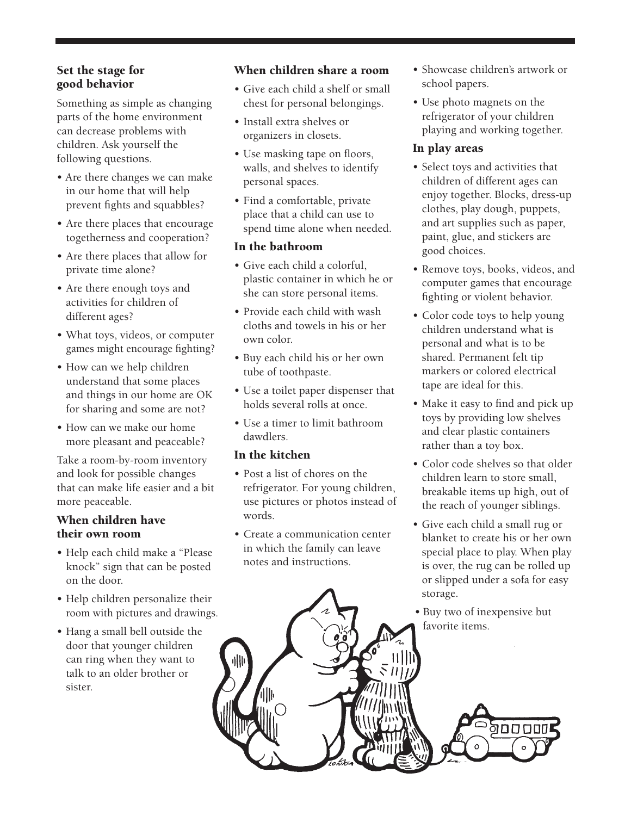# Set the stage for good behavior

Something as simple as changing parts of the home environment can decrease problems with children. Ask yourself the following questions.

- Are there changes we can make in our home that will help prevent fights and squabbles?
- Are there places that encourage togetherness and cooperation?
- Are there places that allow for private time alone?
- Are there enough toys and activities for children of different ages?
- What toys, videos, or computer games might encourage fighting?
- How can we help children understand that some places and things in our home are OK for sharing and some are not?
- How can we make our home more pleasant and peaceable?

Take a room-by-room inventory and look for possible changes that can make life easier and a bit more peaceable.

# When children have their own room

- Help each child make a "Please knock" sign that can be posted on the door.
- Help children personalize their room with pictures and drawings.
- Hang a small bell outside the door that younger children can ring when they want to talk to an older brother or sister.

### When children share a room

- Give each child a shelf or small chest for personal belongings.
- Install extra shelves or organizers in closets.
- Use masking tape on floors, walls, and shelves to identify personal spaces.
- Find a comfortable, private place that a child can use to spend time alone when needed.

# In the bathroom

- Give each child a colorful, plastic container in which he or she can store personal items.
- Provide each child with wash cloths and towels in his or her own color.
- Buy each child his or her own tube of toothpaste.
- Use a toilet paper dispenser that holds several rolls at once.
- Use a timer to limit bathroom dawdlers.

### In the kitchen

- Post a list of chores on the refrigerator. For young children, use pictures or photos instead of words.
- Create a communication center in which the family can leave notes and instructions.
- Showcase children's artwork or school papers.
- Use photo magnets on the refrigerator of your children playing and working together.

### In play areas

- Select toys and activities that children of different ages can enjoy together. Blocks, dress-up clothes, play dough, puppets, and art supplies such as paper, paint, glue, and stickers are good choices.
- Remove toys, books, videos, and computer games that encourage fighting or violent behavior.
- Color code toys to help young children understand what is personal and what is to be shared. Permanent felt tip markers or colored electrical tape are ideal for this.
- Make it easy to find and pick up toys by providing low shelves and clear plastic containers rather than a toy box.
- Color code shelves so that older children learn to store small, breakable items up high, out of the reach of younger siblings.
- Give each child a small rug or blanket to create his or her own special place to play. When play is over, the rug can be rolled up or slipped under a sofa for easy storage.
- Buy two of inexpensive but favorite items.

00000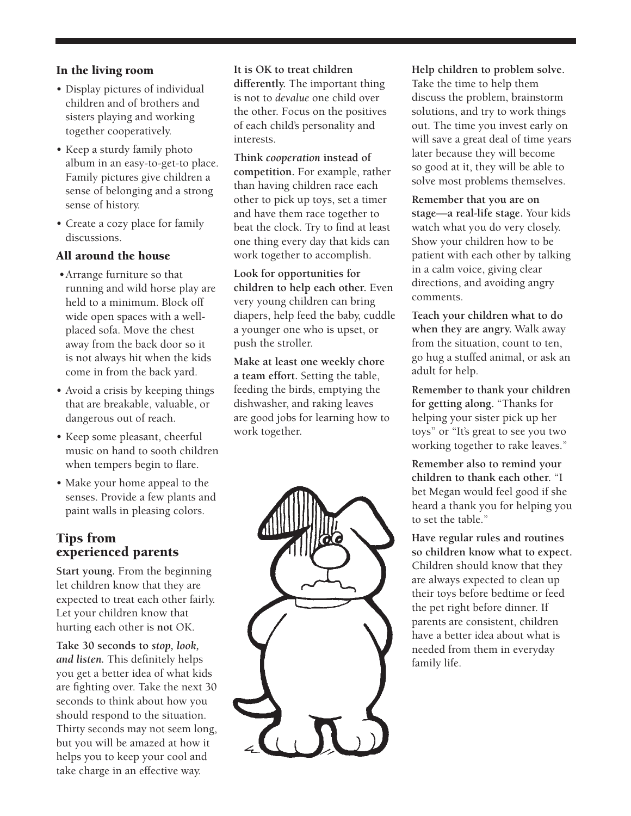# In the living room

- Display pictures of individual children and of brothers and sisters playing and working together cooperatively.
- Keep a sturdy family photo album in an easy-to-get-to place. Family pictures give children a sense of belonging and a strong sense of history.
- Create a cozy place for family discussions.

# All around the house

- Arrange furniture so that running and wild horse play are held to a minimum. Block off wide open spaces with a wellplaced sofa. Move the chest away from the back door so it is not always hit when the kids come in from the back yard.
- Avoid a crisis by keeping things that are breakable, valuable, or dangerous out of reach.
- Keep some pleasant, cheerful music on hand to sooth children when tempers begin to flare.
- Make your home appeal to the senses. Provide a few plants and paint walls in pleasing colors.

# Tips from experienced parents

**Start young.** From the beginning let children know that they are expected to treat each other fairly. Let your children know that hurting each other is **not** OK.

**Take 30 seconds to** *stop, look, and listen.* This definitely helps you get a better idea of what kids are fighting over. Take the next 30 seconds to think about how you should respond to the situation. Thirty seconds may not seem long, but you will be amazed at how it helps you to keep your cool and take charge in an effective way.

**It is OK to treat children differently.** The important thing is not to *devalue* one child over the other. Focus on the positives of each child's personality and interests.

**Think** *cooperation* **instead of competition.** For example, rather than having children race each other to pick up toys, set a timer and have them race together to beat the clock. Try to find at least one thing every day that kids can work together to accomplish.

**Look for opportunities for children to help each other.** Even very young children can bring diapers, help feed the baby, cuddle a younger one who is upset, or push the stroller.

**Make at least one weekly chore a team effort.** Setting the table, feeding the birds, emptying the dishwasher, and raking leaves are good jobs for learning how to work together.



**Help children to problem solve.** Take the time to help them discuss the problem, brainstorm solutions, and try to work things out. The time you invest early on will save a great deal of time years later because they will become so good at it, they will be able to solve most problems themselves.

**Remember that you are on stage—a real-life stage.** Your kids watch what you do very closely. Show your children how to be patient with each other by talking in a calm voice, giving clear directions, and avoiding angry comments.

**Teach your children what to do when they are angry.** Walk away from the situation, count to ten, go hug a stuffed animal, or ask an adult for help.

**Remember to thank your children for getting along.** "Thanks for helping your sister pick up her toys" or "It's great to see you two working together to rake leaves."

**Remember also to remind your children to thank each other.** "I bet Megan would feel good if she heard a thank you for helping you to set the table."

**Have regular rules and routines so children know what to expect.** Children should know that they are always expected to clean up their toys before bedtime or feed the pet right before dinner. If parents are consistent, children have a better idea about what is needed from them in everyday family life.